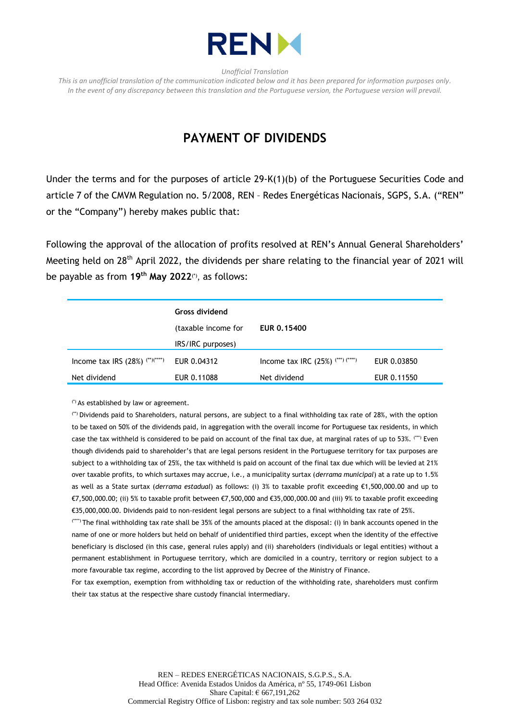

*Unofficial Translation*

*This is an unofficial translation of the communication indicated below and it has been prepared for information purposes only. In the event of any discrepancy between this translation and the Portuguese version, the Portuguese version will prevail.*

## **PAYMENT OF DIVIDENDS**

Under the terms and for the purposes of article 29-K(1)(b) of the Portuguese Securities Code and article 7 of the CMVM Regulation no. 5/2008, REN – Redes Energéticas Nacionais, SGPS, S.A. ("REN" or the "Company") hereby makes public that:

Following the approval of the allocation of profits resolved at REN's Annual General Shareholders' Meeting held on 28<sup>th</sup> April 2022, the dividends per share relating to the financial year of 2021 will be payable as from **19th May 2022**(\*) , as follows:

|                                   | <b>Gross dividend</b> |                                     |             |
|-----------------------------------|-----------------------|-------------------------------------|-------------|
|                                   | (taxable income for   | <b>EUR 0.15400</b>                  |             |
|                                   | IRS/IRC purposes)     |                                     |             |
| Income tax IRS $(28%)$ (**)(****) | EUR 0.04312           | Income tax IRC $(25%)$ (***) (****) | EUR 0.03850 |
| Net dividend                      | EUR 0.11088           | Net dividend                        | EUR 0.11550 |

(\*) As established by law or agreement.

(\*\*) Dividends paid to Shareholders, natural persons, are subject to a final withholding tax rate of 28%, with the option to be taxed on 50% of the dividends paid, in aggregation with the overall income for Portuguese tax residents, in which case the tax withheld is considered to be paid on account of the final tax due, at marginal rates of up to 53%. (\*\*\*) Even though dividends paid to shareholder's that are legal persons resident in the Portuguese territory for tax purposes are subject to a withholding tax of 25%, the tax withheld is paid on account of the final tax due which will be levied at 21% over taxable profits, to which surtaxes may accrue, i.e., a municipality surtax (*derrama municipal*) at a rate up to 1.5% as well as a State surtax (*derrama estadual*) as follows: (i) 3% to taxable profit exceeding €1,500,000.00 and up to €7,500,000.00; (ii) 5% to taxable profit between €7,500,000 and €35,000,000.00 and (iii) 9% to taxable profit exceeding €35,000,000.00. Dividends paid to non-resident legal persons are subject to a final withholding tax rate of 25%.

(\*\*\*\*) The final withholding tax rate shall be 35% of the amounts placed at the disposal: (i) in bank accounts opened in the name of one or more holders but held on behalf of unidentified third parties, except when the identity of the effective beneficiary is disclosed (in this case, general rules apply) and (ii) shareholders (individuals or legal entities) without a permanent establishment in Portuguese territory, which are domiciled in a country, territory or region subject to a more favourable tax regime, according to the list approved by Decree of the Ministry of Finance.

For tax exemption, exemption from withholding tax or reduction of the withholding rate, shareholders must confirm their tax status at the respective share custody financial intermediary.